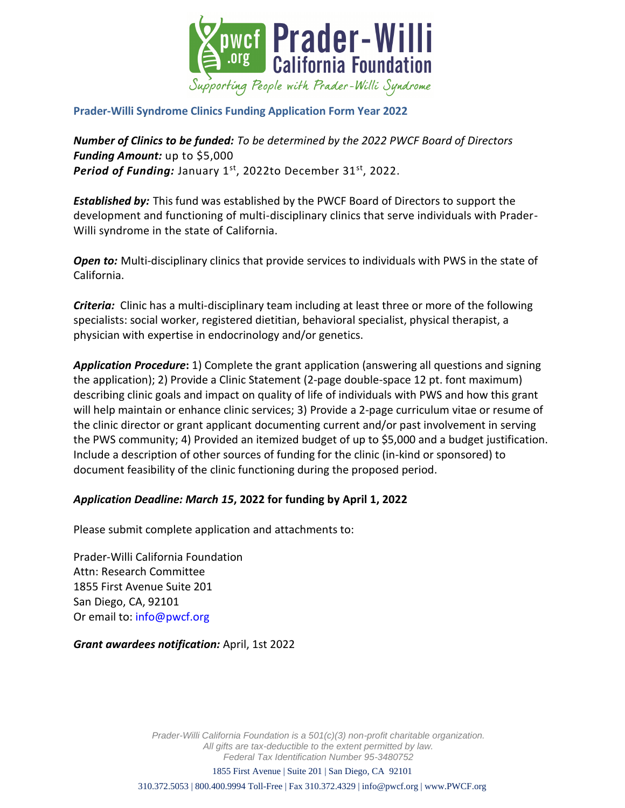

## **Prader-Willi Syndrome Clinics Funding Application Form Year 2022**

*Number of Clinics to be funded: To be determined by the 2022 PWCF Board of Directors Funding Amount:* up to \$5,000 Period of Funding: January 1<sup>st</sup>, 2022to December 31<sup>st</sup>, 2022.

*Established by:* This fund was established by the PWCF Board of Directors to support the development and functioning of multi-disciplinary clinics that serve individuals with Prader-Willi syndrome in the state of California.

*Open to:* Multi-disciplinary clinics that provide services to individuals with PWS in the state of California.

*Criteria:* Clinic has a multi-disciplinary team including at least three or more of the following specialists: social worker, registered dietitian, behavioral specialist, physical therapist, a physician with expertise in endocrinology and/or genetics.

*Application Procedure***:** 1) Complete the grant application (answering all questions and signing the application); 2) Provide a Clinic Statement (2-page double-space 12 pt. font maximum) describing clinic goals and impact on quality of life of individuals with PWS and how this grant will help maintain or enhance clinic services; 3) Provide a 2-page curriculum vitae or resume of the clinic director or grant applicant documenting current and/or past involvement in serving the PWS community; 4) Provided an itemized budget of up to \$5,000 and a budget justification. Include a description of other sources of funding for the clinic (in-kind or sponsored) to document feasibility of the clinic functioning during the proposed period.

## *Application Deadline: March 15***, 2022 for funding by April 1, 2022**

Please submit complete application and attachments to:

Prader-Willi California Foundation Attn: Research Committee 1855 First Avenue Suite 201 San Diego, CA, 92101 Or email to: info@pwcf.org

*Grant awardees notification:* April, 1st 2022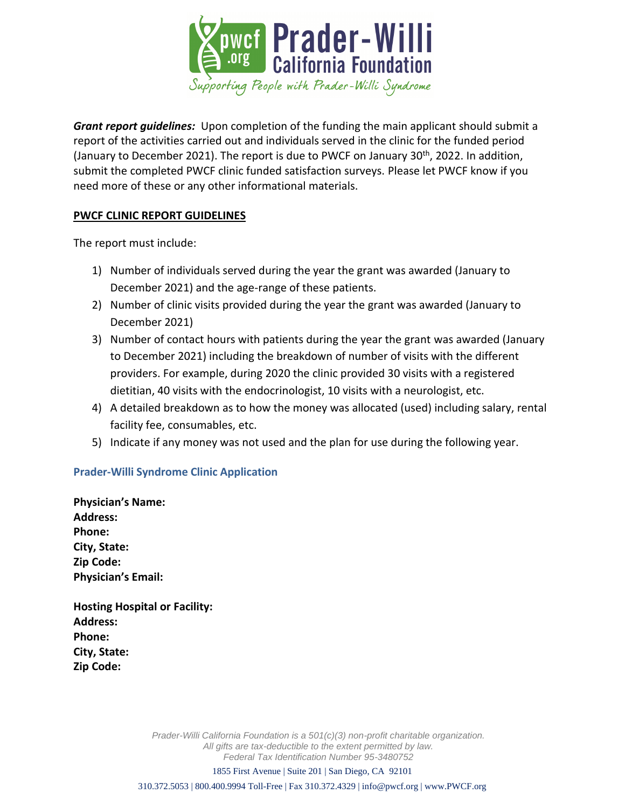

*Grant report guidelines:* Upon completion of the funding the main applicant should submit a report of the activities carried out and individuals served in the clinic for the funded period (January to December 2021). The report is due to PWCF on January  $30<sup>th</sup>$ , 2022. In addition, submit the completed PWCF clinic funded satisfaction surveys. Please let PWCF know if you need more of these or any other informational materials.

## **PWCF CLINIC REPORT GUIDELINES**

The report must include:

- 1) Number of individuals served during the year the grant was awarded (January to December 2021) and the age-range of these patients.
- 2) Number of clinic visits provided during the year the grant was awarded (January to December 2021)
- 3) Number of contact hours with patients during the year the grant was awarded (January to December 2021) including the breakdown of number of visits with the different providers. For example, during 2020 the clinic provided 30 visits with a registered dietitian, 40 visits with the endocrinologist, 10 visits with a neurologist, etc.
- 4) A detailed breakdown as to how the money was allocated (used) including salary, rental facility fee, consumables, etc.
- 5) Indicate if any money was not used and the plan for use during the following year.

## **Prader-Willi Syndrome Clinic Application**

**Physician's Name: Address: Phone: City, State: Zip Code: Physician's Email:** 

**Hosting Hospital or Facility: Address: Phone: City, State: Zip Code:**

> *Prader-Willi California Foundation is a 501(c)(3) non-profit charitable organization. All gifts are tax-deductible to the extent permitted by law. Federal Tax Identification Number 95-3480752*